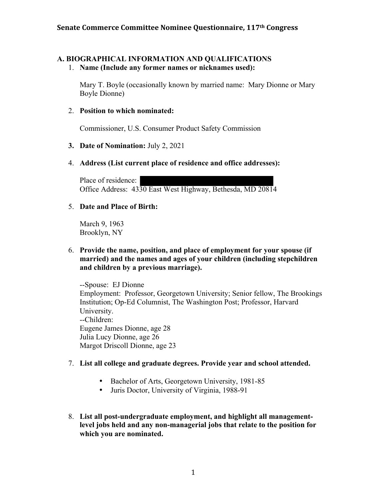## **A. BIOGRAPHICAL INFORMATION AND QUALIFICATIONS**

1. **Name (Include any former names or nicknames used):**

Mary T. Boyle (occasionally known by married name: Mary Dionne or Mary Boyle Dionne)

### 2. **Position to which nominated:**

Commissioner, U.S. Consumer Product Safety Commission

### **3. Date of Nomination:** July 2, 2021

### 4. **Address (List current place of residence and office addresses):**

Place of residence: Office Address: 4330 East West Highway, Bethesda, MD 20814

#### 5. **Date and Place of Birth:**

March 9, 1963 Brooklyn, NY

#### 6. **Provide the name, position, and place of employment for your spouse (if married) and the names and ages of your children (including stepchildren and children by a previous marriage).**

--Spouse: EJ Dionne Employment: Professor, Georgetown University; Senior fellow, The Brookings Institution; Op-Ed Columnist, The Washington Post; Professor, Harvard University. --Children: Eugene James Dionne, age 28 Julia Lucy Dionne, age 26 Margot Driscoll Dionne, age 23

#### 7. **List all college and graduate degrees. Provide year and school attended.**

- Bachelor of Arts, Georgetown University, 1981-85
- Juris Doctor, University of Virginia, 1988-91
- 8. **List all post-undergraduate employment, and highlight all managementlevel jobs held and any non-managerial jobs that relate to the position for which you are nominated.**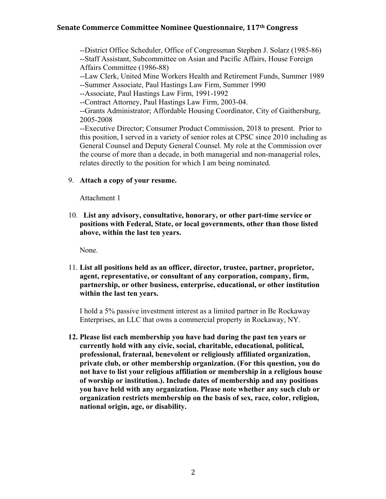--District Office Scheduler, Office of Congressman Stephen J. Solarz (1985-86) --Staff Assistant, Subcommittee on Asian and Pacific Affairs, House Foreign Affairs Committee (1986-88)

--Law Clerk, United Mine Workers Health and Retirement Funds, Summer 1989 --Summer Associate, Paul Hastings Law Firm, Summer 1990

--Associate, Paul Hastings Law Firm, 1991-1992

--Contract Attorney, Paul Hastings Law Firm, 2003-04.

--Grants Administrator; Affordable Housing Coordinator, City of Gaithersburg, 2005-2008

--Executive Director; Consumer Product Commission, 2018 to present. Prior to this position, I served in a variety of senior roles at CPSC since 2010 including as General Counsel and Deputy General Counsel. My role at the Commission over the course of more than a decade, in both managerial and non-managerial roles, relates directly to the position for which I am being nominated.

#### 9. **Attach a copy of your resume.**

Attachment 1

10. **List any advisory, consultative, honorary, or other part-time service or positions with Federal, State, or local governments, other than those listed above, within the last ten years.** 

None.

11. **List all positions held as an officer, director, trustee, partner, proprietor, agent, representative, or consultant of any corporation, company, firm, partnership, or other business, enterprise, educational, or other institution within the last ten years.**

I hold a 5% passive investment interest as a limited partner in Be Rockaway Enterprises, an LLC that owns a commercial property in Rockaway, NY.

**12. Please list each membership you have had during the past ten years or currently hold with any civic, social, charitable, educational, political, professional, fraternal, benevolent or religiously affiliated organization, private club, or other membership organization. (For this question, you do not have to list your religious affiliation or membership in a religious house of worship or institution.). Include dates of membership and any positions you have held with any organization. Please note whether any such club or organization restricts membership on the basis of sex, race, color, religion, national origin, age, or disability.**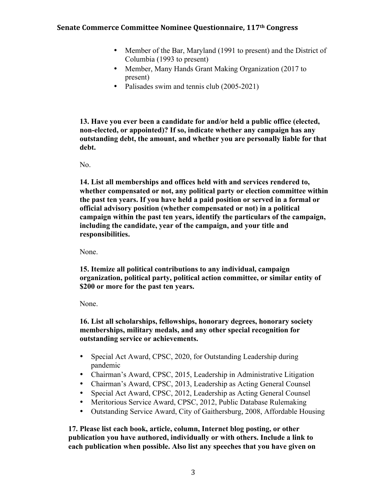- Member of the Bar, Maryland (1991 to present) and the District of Columbia (1993 to present)
- Member, Many Hands Grant Making Organization (2017 to present)
- Palisades swim and tennis club (2005-2021)

**13. Have you ever been a candidate for and/or held a public office (elected, non-elected, or appointed)? If so, indicate whether any campaign has any outstanding debt, the amount, and whether you are personally liable for that debt.**

No.

**14. List all memberships and offices held with and services rendered to, whether compensated or not, any political party or election committee within the past ten years. If you have held a paid position or served in a formal or official advisory position (whether compensated or not) in a political campaign within the past ten years, identify the particulars of the campaign, including the candidate, year of the campaign, and your title and responsibilities.** 

None.

**15. Itemize all political contributions to any individual, campaign organization, political party, political action committee, or similar entity of \$200 or more for the past ten years.** 

None.

**16. List all scholarships, fellowships, honorary degrees, honorary society memberships, military medals, and any other special recognition for outstanding service or achievements.** 

- Special Act Award, CPSC, 2020, for Outstanding Leadership during pandemic
- Chairman's Award, CPSC, 2015, Leadership in Administrative Litigation
- Chairman's Award, CPSC, 2013, Leadership as Acting General Counsel
- Special Act Award, CPSC, 2012, Leadership as Acting General Counsel
- Meritorious Service Award, CPSC, 2012, Public Database Rulemaking
- Outstanding Service Award, City of Gaithersburg, 2008, Affordable Housing

**17. Please list each book, article, column, Internet blog posting, or other publication you have authored, individually or with others. Include a link to each publication when possible. Also list any speeches that you have given on**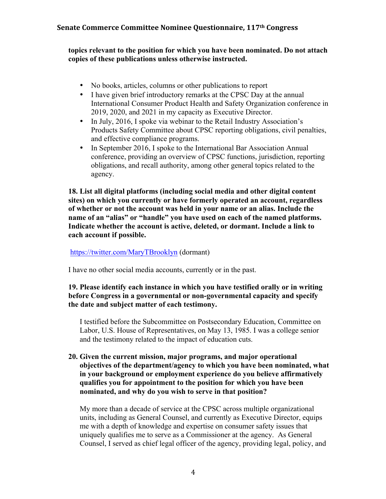#### **topics relevant to the position for which you have been nominated. Do not attach copies of these publications unless otherwise instructed.**

- No books, articles, columns or other publications to report
- I have given brief introductory remarks at the CPSC Day at the annual International Consumer Product Health and Safety Organization conference in 2019, 2020, and 2021 in my capacity as Executive Director.
- In July, 2016, I spoke via webinar to the Retail Industry Association's Products Safety Committee about CPSC reporting obligations, civil penalties, and effective compliance programs.
- In September 2016, I spoke to the International Bar Association Annual conference, providing an overview of CPSC functions, jurisdiction, reporting obligations, and recall authority, among other general topics related to the agency.

**18. List all digital platforms (including social media and other digital content sites) on which you currently or have formerly operated an account, regardless of whether or not the account was held in your name or an alias. Include the name of an "alias" or "handle" you have used on each of the named platforms. Indicate whether the account is active, deleted, or dormant. Include a link to each account if possible.**

#### https://twitter.com/MaryTBrooklyn (dormant)

I have no other social media accounts, currently or in the past.

#### **19. Please identify each instance in which you have testified orally or in writing before Congress in a governmental or non-governmental capacity and specify the date and subject matter of each testimony.**

I testified before the Subcommittee on Postsecondary Education, Committee on Labor, U.S. House of Representatives, on May 13, 1985. I was a college senior and the testimony related to the impact of education cuts.

#### **20. Given the current mission, major programs, and major operational objectives of the department/agency to which you have been nominated, what in your background or employment experience do you believe affirmatively qualifies you for appointment to the position for which you have been nominated, and why do you wish to serve in that position?**

My more than a decade of service at the CPSC across multiple organizational units, including as General Counsel, and currently as Executive Director, equips me with a depth of knowledge and expertise on consumer safety issues that uniquely qualifies me to serve as a Commissioner at the agency. As General Counsel, I served as chief legal officer of the agency, providing legal, policy, and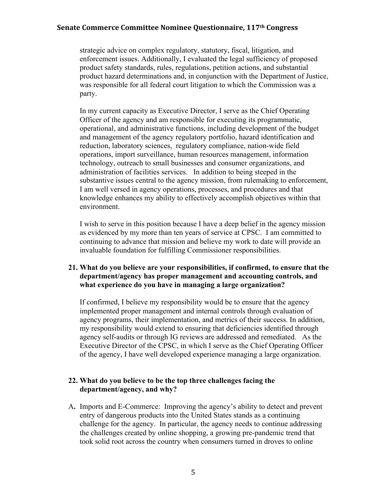strategic advice on complex regulatory, statutory, fiscal, litigation, and enforcement issues. Additionally, I evaluated the legal sufficiency of proposed product safety standards, rules, regulations, petition actions, and substantial product hazard determinations and, in conjunction with the Department of Justice, was responsible for all federal court litigation to which the Commission was a party.

In my current capacity as Executive Director, I serve as the Chief Operating Officer of the agency and am responsible for executing its programmatic, operational, and administrative functions, including development of the budget and management of the agency regulatory portfolio, hazard identification and reduction, laboratory sciences, regulatory compliance, nation-wide field operations, import surveillance, human resources management, information technology, outreach to small businesses and consumer organizations, and administration of facilities services. In addition to being steeped in the substantive issues central to the agency mission, from rulemaking to enforcement, I am well versed in agency operations, processes, and procedures and that knowledge enhances my ability to effectively accomplish objectives within that environment.

I wish to serve in this position because I have a deep belief in the agency mission as evidenced by my more than ten years of service at CPSC. I am committed to continuing to advance that mission and believe my work to date will provide an invaluable foundation for fulfilling Commissioner responsibilities.

#### **21. What do you believe are your responsibilities, if confirmed, to ensure that the department/agency has proper management and accounting controls, and what experience do you have in managing a large organization?**

If confirmed, I believe my responsibility would be to ensure that the agency implemented proper management and internal controls through evaluation of agency programs, their implementation, and metrics of their success. In addition, my responsibility would extend to ensuring that deficiencies identified through agency self-audits or through IG reviews are addressed and remediated. As the Executive Director of the CPSC, in which I serve as the Chief Operating Officer of the agency, I have well developed experience managing a large organization.

#### **22. What do you believe to be the top three challenges facing the department/agency, and why?**

A**.** Imports and E-Commerce: Improving the agency's ability to detect and prevent entry of dangerous products into the United States stands as a continuing challenge for the agency. In particular, the agency needs to continue addressing the challenges created by online shopping, a growing pre-pandemic trend that took solid root across the country when consumers turned in droves to online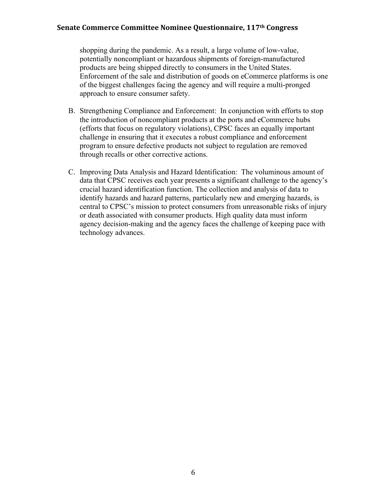shopping during the pandemic. As a result, a large volume of low-value, potentially noncompliant or hazardous shipments of foreign-manufactured products are being shipped directly to consumers in the United States. Enforcement of the sale and distribution of goods on eCommerce platforms is one of the biggest challenges facing the agency and will require a multi-pronged approach to ensure consumer safety.

- B. Strengthening Compliance and Enforcement: In conjunction with efforts to stop the introduction of noncompliant products at the ports and eCommerce hubs (efforts that focus on regulatory violations), CPSC faces an equally important challenge in ensuring that it executes a robust compliance and enforcement program to ensure defective products not subject to regulation are removed through recalls or other corrective actions.
- C. Improving Data Analysis and Hazard Identification: The voluminous amount of data that CPSC receives each year presents a significant challenge to the agency's crucial hazard identification function. The collection and analysis of data to identify hazards and hazard patterns, particularly new and emerging hazards, is central to CPSC's mission to protect consumers from unreasonable risks of injury or death associated with consumer products. High quality data must inform agency decision-making and the agency faces the challenge of keeping pace with technology advances.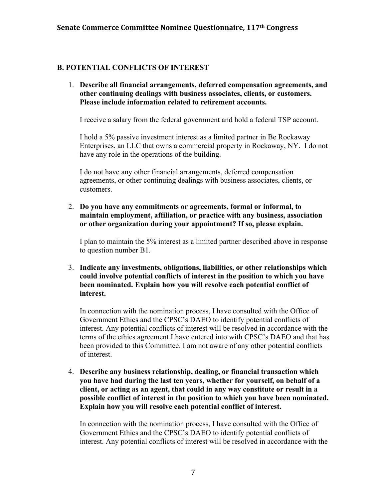### **B. POTENTIAL CONFLICTS OF INTEREST**

1. **Describe all financial arrangements, deferred compensation agreements, and other continuing dealings with business associates, clients, or customers. Please include information related to retirement accounts.**

I receive a salary from the federal government and hold a federal TSP account.

I hold a 5% passive investment interest as a limited partner in Be Rockaway Enterprises, an LLC that owns a commercial property in Rockaway, NY. I do not have any role in the operations of the building.

I do not have any other financial arrangements, deferred compensation agreements, or other continuing dealings with business associates, clients, or customers.

2. **Do you have any commitments or agreements, formal or informal, to maintain employment, affiliation, or practice with any business, association or other organization during your appointment? If so, please explain.** 

I plan to maintain the 5% interest as a limited partner described above in response to question number B1.

3. **Indicate any investments, obligations, liabilities, or other relationships which could involve potential conflicts of interest in the position to which you have been nominated. Explain how you will resolve each potential conflict of interest.** 

In connection with the nomination process, I have consulted with the Office of Government Ethics and the CPSC's DAEO to identify potential conflicts of interest. Any potential conflicts of interest will be resolved in accordance with the terms of the ethics agreement I have entered into with CPSC's DAEO and that has been provided to this Committee. I am not aware of any other potential conflicts of interest.

4. **Describe any business relationship, dealing, or financial transaction which you have had during the last ten years, whether for yourself, on behalf of a client, or acting as an agent, that could in any way constitute or result in a possible conflict of interest in the position to which you have been nominated. Explain how you will resolve each potential conflict of interest.** 

In connection with the nomination process, I have consulted with the Office of Government Ethics and the CPSC's DAEO to identify potential conflicts of interest. Any potential conflicts of interest will be resolved in accordance with the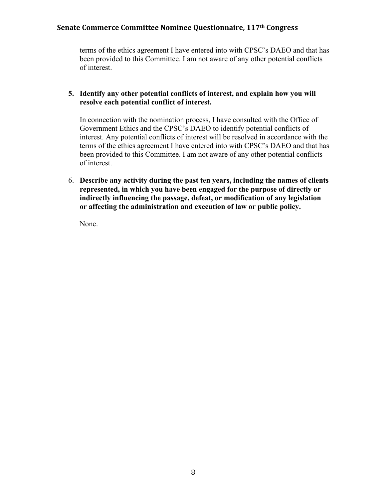terms of the ethics agreement I have entered into with CPSC's DAEO and that has been provided to this Committee. I am not aware of any other potential conflicts of interest.

#### **5. Identify any other potential conflicts of interest, and explain how you will resolve each potential conflict of interest.**

In connection with the nomination process, I have consulted with the Office of Government Ethics and the CPSC's DAEO to identify potential conflicts of interest. Any potential conflicts of interest will be resolved in accordance with the terms of the ethics agreement I have entered into with CPSC's DAEO and that has been provided to this Committee. I am not aware of any other potential conflicts of interest.

6. **Describe any activity during the past ten years, including the names of clients represented, in which you have been engaged for the purpose of directly or indirectly influencing the passage, defeat, or modification of any legislation or affecting the administration and execution of law or public policy.** 

None.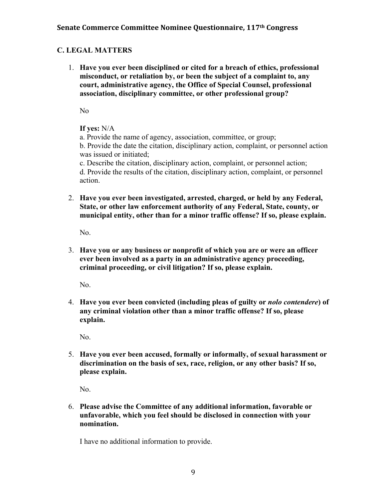### **C. LEGAL MATTERS**

1. **Have you ever been disciplined or cited for a breach of ethics, professional misconduct, or retaliation by, or been the subject of a complaint to, any court, administrative agency, the Office of Special Counsel, professional association, disciplinary committee, or other professional group?** 

No

#### **If yes:** N/A

a. Provide the name of agency, association, committee, or group;

b. Provide the date the citation, disciplinary action, complaint, or personnel action was issued or initiated;

c. Describe the citation, disciplinary action, complaint, or personnel action; d. Provide the results of the citation, disciplinary action, complaint, or personnel action.

2. **Have you ever been investigated, arrested, charged, or held by any Federal, State, or other law enforcement authority of any Federal, State, county, or municipal entity, other than for a minor traffic offense? If so, please explain.** 

No.

3. **Have you or any business or nonprofit of which you are or were an officer ever been involved as a party in an administrative agency proceeding, criminal proceeding, or civil litigation? If so, please explain.**

No.

4. **Have you ever been convicted (including pleas of guilty or** *nolo contendere***) of any criminal violation other than a minor traffic offense? If so, please explain.**

No.

5. **Have you ever been accused, formally or informally, of sexual harassment or discrimination on the basis of sex, race, religion, or any other basis? If so, please explain.** 

No.

6. **Please advise the Committee of any additional information, favorable or unfavorable, which you feel should be disclosed in connection with your nomination.** 

I have no additional information to provide.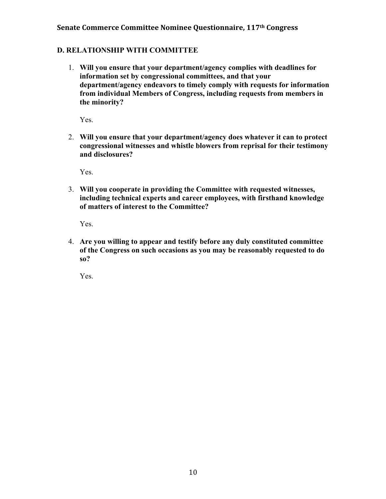#### **D. RELATIONSHIP WITH COMMITTEE**

1. **Will you ensure that your department/agency complies with deadlines for information set by congressional committees, and that your department/agency endeavors to timely comply with requests for information from individual Members of Congress, including requests from members in the minority?** 

Yes.

2. **Will you ensure that your department/agency does whatever it can to protect congressional witnesses and whistle blowers from reprisal for their testimony and disclosures?**

Yes.

3. **Will you cooperate in providing the Committee with requested witnesses, including technical experts and career employees, with firsthand knowledge of matters of interest to the Committee?** 

Yes.

4. **Are you willing to appear and testify before any duly constituted committee of the Congress on such occasions as you may be reasonably requested to do so?** 

Yes.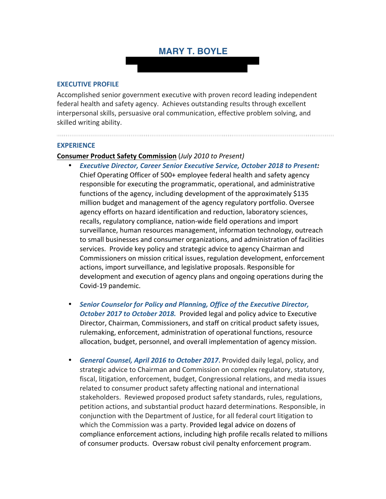## **MARY T. BOYLE**

#### **EXECUTIVE PROFILE**

Accomplished senior government executive with proven record leading independent federal health and safety agency. Achieves outstanding results through excellent interpersonal skills, persuasive oral communication, effective problem solving, and skilled writing ability.

#### **EXPERIENCE**

#### **Consumer Product Safety Commission** (*July 2010 to Present)*

- *Executive Director, Career Senior Executive Service, October 2018 to Present:* Chief Operating Officer of 500+ employee federal health and safety agency responsible for executing the programmatic, operational, and administrative functions of the agency, including development of the approximately \$135 million budget and management of the agency regulatory portfolio. Oversee agency efforts on hazard identification and reduction, laboratory sciences, recalls, regulatory compliance, nation-wide field operations and import surveillance, human resources management, information technology, outreach to small businesses and consumer organizations, and administration of facilities services. Provide key policy and strategic advice to agency Chairman and Commissioners on mission critical issues, regulation development, enforcement actions, import surveillance, and legislative proposals. Responsible for development and execution of agency plans and ongoing operations during the Covid-19 pandemic.
- *Senior Counselor for Policy and Planning, Office of the Executive Director, October 2017 to October 2018.* Provided legal and policy advice to Executive Director, Chairman, Commissioners, and staff on critical product safety issues, rulemaking, enforcement, administration of operational functions, resource allocation, budget, personnel, and overall implementation of agency mission.
- *General Counsel, April 2016 to October 2017***.** Provided daily legal, policy, and strategic advice to Chairman and Commission on complex regulatory, statutory, fiscal, litigation, enforcement, budget, Congressional relations, and media issues related to consumer product safety affecting national and international stakeholders. Reviewed proposed product safety standards, rules, regulations, petition actions, and substantial product hazard determinations. Responsible, in conjunction with the Department of Justice, for all federal court litigation to which the Commission was a party. Provided legal advice on dozens of compliance enforcement actions, including high profile recalls related to millions of consumer products. Oversaw robust civil penalty enforcement program.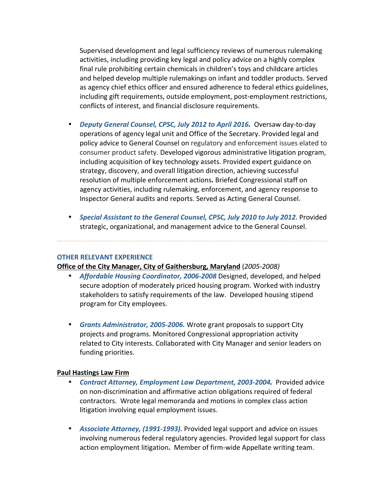Supervised development and legal sufficiency reviews of numerous rulemaking activities, including providing key legal and policy advice on a highly complex final rule prohibiting certain chemicals in children's toys and childcare articles and helped develop multiple rulemakings on infant and toddler products. Served as agency chief ethics officer and ensured adherence to federal ethics guidelines, including gift requirements, outside employment, post-employment restrictions, conflicts of interest, and financial disclosure requirements.

- *Deputy General Counsel, CPSC, July 2012 to April 2016.* Oversaw day-to-day operations of agency legal unit and Office of the Secretary. Provided legal and policy advice to General Counsel on regulatory and enforcement issues elated to consumer product safety. Developed vigorous administrative litigation program, including acquisition of key technology assets. Provided expert guidance on strategy, discovery, and overall litigation direction, achieving successful resolution of multiple enforcement actions*.* Briefed Congressional staff on agency activities, including rulemaking, enforcement, and agency response to Inspector General audits and reports. Served as Acting General Counsel.
- *Special Assistant to the General Counsel, CPSC, July 2010 to July 2012.* Provided strategic, organizational, and management advice to the General Counsel.

#### **OTHER RELEVANT EXPERIENCE**

#### **Office of the City Manager, City of Gaithersburg, Maryland** (*2005-2008)*

- *Affordable Housing Coordinator, 2006-2008* Designed, developed, and helped secure adoption of moderately priced housing program. Worked with industry stakeholders to satisfy requirements of the law. Developed housing stipend program for City employees.
- *Grants Administrator, 2005-2006.* Wrote grant proposals to support City projects and programs. Monitored Congressional appropriation activity related to City interests. Collaborated with City Manager and senior leaders on funding priorities.

#### **Paul Hastings Law Firm**

- *Contract Attorney, Employment Law Department, 2003-2004.* Provided advice on non-discrimination and affirmative action obligations required of federal contractors. Wrote legal memoranda and motions in complex class action litigation involving equal employment issues.
- *Associate Attorney, (1991-1993).* Provided legal support and advice on issues involving numerous federal regulatory agencies. Provided legal support for class action employment litigation**.** Member of firm-wide Appellate writing team.